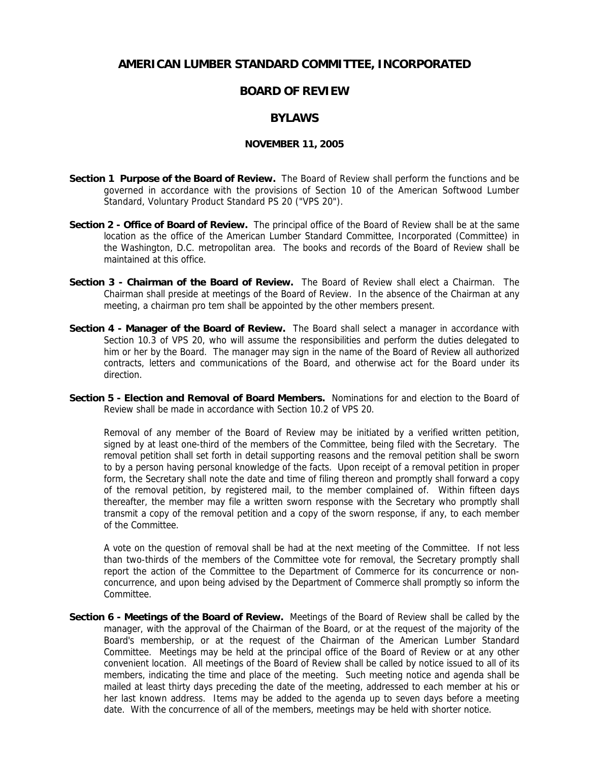## **AMERICAN LUMBER STANDARD COMMITTEE, INCORPORATED**

## **BOARD OF REVIEW**

## **BYLAWS**

## **NOVEMBER 11, 2005**

- **Section 1 Purpose of the Board of Review.** The Board of Review shall perform the functions and be governed in accordance with the provisions of Section 10 of the American Softwood Lumber Standard, Voluntary Product Standard PS 20 ("VPS 20").
- **Section 2 Office of Board of Review.** The principal office of the Board of Review shall be at the same location as the office of the American Lumber Standard Committee, Incorporated (Committee) in the Washington, D.C. metropolitan area. The books and records of the Board of Review shall be maintained at this office.
- **Section 3 Chairman of the Board of Review.** The Board of Review shall elect a Chairman. The Chairman shall preside at meetings of the Board of Review. In the absence of the Chairman at any meeting, a chairman pro tem shall be appointed by the other members present.
- **Section 4 Manager of the Board of Review.** The Board shall select a manager in accordance with Section 10.3 of VPS 20, who will assume the responsibilities and perform the duties delegated to him or her by the Board. The manager may sign in the name of the Board of Review all authorized contracts, letters and communications of the Board, and otherwise act for the Board under its direction.
- **Section 5 Election and Removal of Board Members.** Nominations for and election to the Board of Review shall be made in accordance with Section 10.2 of VPS 20.

Removal of any member of the Board of Review may be initiated by a verified written petition, signed by at least one-third of the members of the Committee, being filed with the Secretary. The removal petition shall set forth in detail supporting reasons and the removal petition shall be sworn to by a person having personal knowledge of the facts. Upon receipt of a removal petition in proper form, the Secretary shall note the date and time of filing thereon and promptly shall forward a copy of the removal petition, by registered mail, to the member complained of. Within fifteen days thereafter, the member may file a written sworn response with the Secretary who promptly shall transmit a copy of the removal petition and a copy of the sworn response, if any, to each member of the Committee.

A vote on the question of removal shall be had at the next meeting of the Committee. If not less than two-thirds of the members of the Committee vote for removal, the Secretary promptly shall report the action of the Committee to the Department of Commerce for its concurrence or nonconcurrence, and upon being advised by the Department of Commerce shall promptly so inform the Committee.

**Section 6 - Meetings of the Board of Review.** Meetings of the Board of Review shall be called by the manager, with the approval of the Chairman of the Board, or at the request of the majority of the Board's membership, or at the request of the Chairman of the American Lumber Standard Committee. Meetings may be held at the principal office of the Board of Review or at any other convenient location. All meetings of the Board of Review shall be called by notice issued to all of its members, indicating the time and place of the meeting. Such meeting notice and agenda shall be mailed at least thirty days preceding the date of the meeting, addressed to each member at his or her last known address. Items may be added to the agenda up to seven days before a meeting date. With the concurrence of all of the members, meetings may be held with shorter notice.